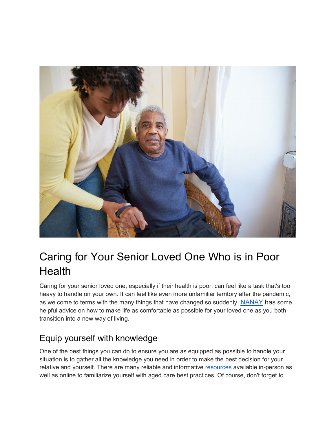

# Caring for Your Senior Loved One Who is in Poor **Health**

Caring for your senior loved one, especially if their health is poor, can feel like a task that's too heavy to handle on your own. It can feel like even more unfamiliar territory after the pandemic, as we come to terms with the many things that have changed so suddenly. [NANAY](https://www.nanay.com/) has some helpful advice on how to make life as comfortable as possible for your loved one as you both transition into a new way of living.

#### Equip yourself with knowledge

One of the best things you can do to ensure you are as equipped as possible to handle your situation is to gather all the knowledge you need in order to make the best decision for your relative and yourself. There are many reliable and informative [resources](https://www.nia.nih.gov/health/aging-place-growing-older-home) available in-person as well as online to familiarize yourself with aged care best practices. Of course, don't forget to